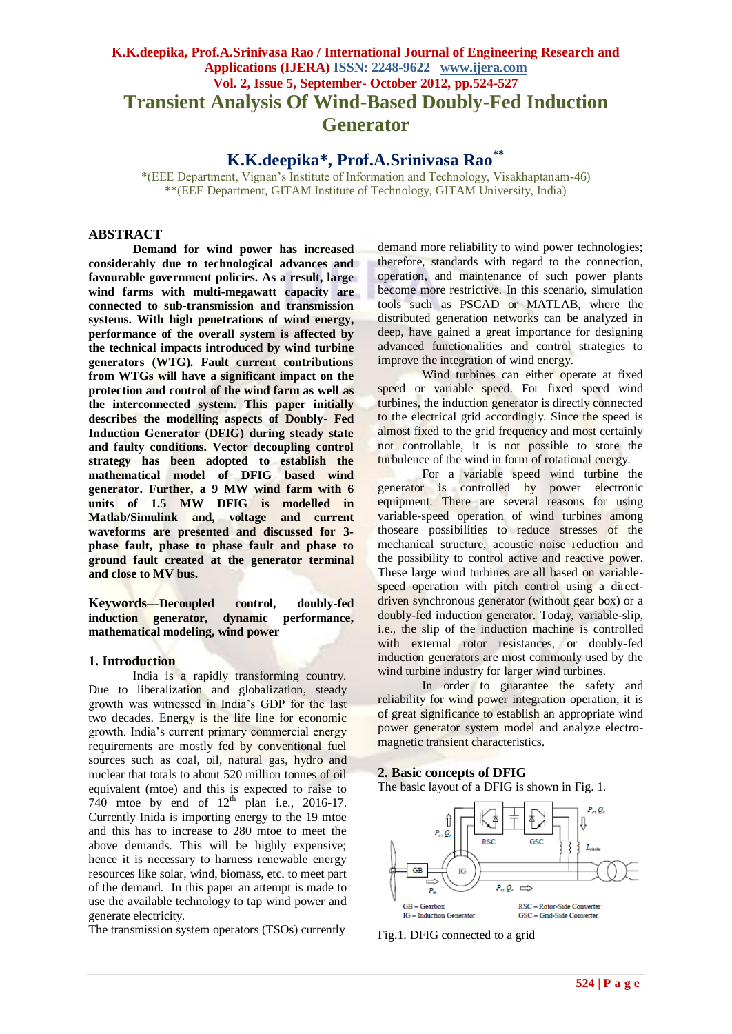# **K.K.deepika, Prof.A.Srinivasa Rao / International Journal of Engineering Research and Applications (IJERA) ISSN: 2248-9622 www.ijera.com Vol. 2, Issue 5, September- October 2012, pp.524-527 Transient Analysis Of Wind-Based Doubly-Fed Induction Generator**

**K.K.deepika\*, Prof.A.Srinivasa Rao\*\***

\*(EEE Department, Vignan's Institute of Information and Technology, Visakhaptanam-46) \*\*(EEE Department, GITAM Institute of Technology, GITAM University, India)

#### **ABSTRACT**

**Demand for wind power has increased considerably due to technological advances and favourable government policies. As a result, large wind farms with multi-megawatt capacity are connected to sub-transmission and transmission systems. With high penetrations of wind energy, performance of the overall system is affected by the technical impacts introduced by wind turbine generators (WTG). Fault current contributions from WTGs will have a significant impact on the protection and control of the wind farm as well as the interconnected system. This paper initially describes the modelling aspects of Doubly- Fed Induction Generator (DFIG) during steady state and faulty conditions. Vector decoupling control strategy has been adopted to establish the mathematical model of DFIG based wind generator. Further, a 9 MW wind farm with 6 units of 1.5 MW DFIG is modelled in Matlab/Simulink and, voltage and current waveforms are presented and discussed for 3 phase fault, phase to phase fault and phase to ground fault created at the generator terminal and close to MV bus.**

**Keywords**—**Decoupled control, doubly-fed induction generator, dynamic performance, mathematical modeling, wind power** 

#### **1. Introduction**

India is a rapidly transforming country. Due to liberalization and globalization, steady growth was witnessed in India's GDP for the last two decades. Energy is the life line for economic growth. India's current primary commercial energy requirements are mostly fed by conventional fuel sources such as coal, oil, natural gas, hydro and nuclear that totals to about 520 million tonnes of oil equivalent (mtoe) and this is expected to raise to 740 mtoe by end of  $12<sup>th</sup>$  plan i.e., 2016-17. Currently Inida is importing energy to the 19 mtoe and this has to increase to 280 mtoe to meet the above demands. This will be highly expensive; hence it is necessary to harness renewable energy resources like solar, wind, biomass, etc. to meet part of the demand. In this paper an attempt is made to use the available technology to tap wind power and generate electricity.

The transmission system operators (TSOs) currently

demand more reliability to wind power technologies; therefore, standards with regard to the connection, operation, and maintenance of such power plants become more restrictive. In this scenario, simulation tools such as PSCAD or MATLAB, where the distributed generation networks can be analyzed in deep, have gained a great importance for designing advanced functionalities and control strategies to improve the integration of wind energy.

Wind turbines can either operate at fixed speed or variable speed. For fixed speed wind turbines, the induction generator is directly connected to the electrical grid accordingly. Since the speed is almost fixed to the grid frequency and most certainly not controllable, it is not possible to store the turbulence of the wind in form of rotational energy.

For a variable speed wind turbine the generator is controlled by power electronic equipment. There are several reasons for using variable-speed operation of wind turbines among thoseare possibilities to reduce stresses of the mechanical structure, acoustic noise reduction and the possibility to control active and reactive power. These large wind turbines are all based on variablespeed operation with pitch control using a directdriven synchronous generator (without gear box) or a doubly-fed induction generator. Today, variable-slip, i.e., the slip of the induction machine is controlled with external rotor resistances, or doubly-fed induction generators are most commonly used by the wind turbine industry for larger wind turbines.

In order to guarantee the safety and reliability for wind power integration operation, it is of great significance to establish an appropriate wind power generator system model and analyze electromagnetic transient characteristics.

#### **2. Basic concepts of DFIG**

The basic layout of a DFIG is shown in Fig. 1.



Fig.1. DFIG connected to a grid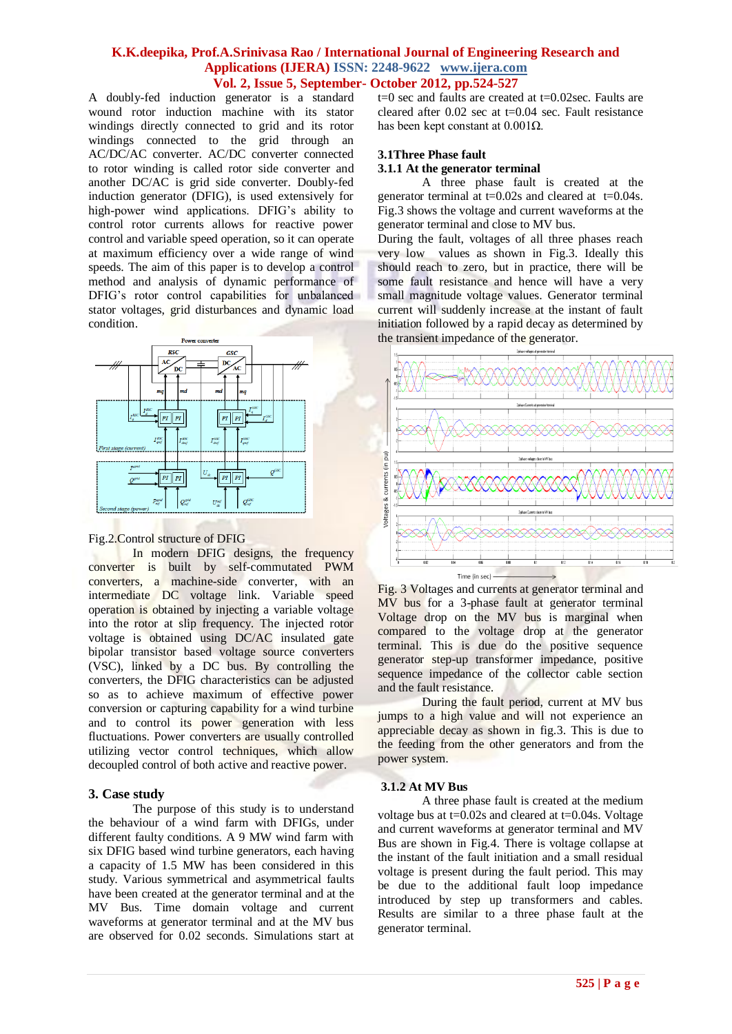## **K.K.deepika, Prof.A.Srinivasa Rao / International Journal of Engineering Research and Applications (IJERA) ISSN: 2248-9622 www.ijera.com Vol. 2, Issue 5, September- October 2012, pp.524-527**

A doubly-fed induction generator is a standard wound rotor induction machine with its stator windings directly connected to grid and its rotor windings connected to the grid through an AC/DC/AC converter. AC/DC converter connected to rotor winding is called rotor side converter and another DC/AC is grid side converter. Doubly-fed induction generator (DFIG), is used extensively for high-power wind applications. DFIG's ability to control rotor currents allows for reactive power control and variable speed operation, so it can operate at maximum efficiency over a wide range of wind speeds. The aim of this paper is to develop a control method and analysis of dynamic performance of DFIG's rotor control capabilities for unbalanced stator voltages, grid disturbances and dynamic load condition.



#### Fig.2.Control structure of DFIG

In modern DFIG designs, the frequency converter is built by self-commutated PWM converters, a machine-side converter, with an intermediate DC voltage link. Variable speed operation is obtained by injecting a variable voltage into the rotor at slip frequency. The injected rotor voltage is obtained using DC/AC insulated gate bipolar transistor based voltage source converters (VSC), linked by a DC bus. By controlling the converters, the DFIG characteristics can be adjusted so as to achieve maximum of effective power conversion or capturing capability for a wind turbine and to control its power generation with less fluctuations. Power converters are usually controlled utilizing vector control techniques, which allow decoupled control of both active and reactive power.

# **3. Case study**

The purpose of this study is to understand the behaviour of a wind farm with DFIGs, under different faulty conditions. A 9 MW wind farm with six DFIG based wind turbine generators, each having a capacity of 1.5 MW has been considered in this study. Various symmetrical and asymmetrical faults have been created at the generator terminal and at the MV Bus. Time domain voltage and current waveforms at generator terminal and at the MV bus are observed for 0.02 seconds. Simulations start at

t=0 sec and faults are created at t=0.02sec. Faults are cleared after  $0.02$  sec at t=0.04 sec. Fault resistance has been kept constant at 0.001Ω.

# **3.1Three Phase fault**

#### **3.1.1 At the generator terminal**

A three phase fault is created at the generator terminal at  $t=0.02$ s and cleared at  $t=0.04$ s. Fig.3 shows the voltage and current waveforms at the generator terminal and close to MV bus.

During the fault, voltages of all three phases reach very low values as shown in Fig.3. Ideally this should reach to zero, but in practice, there will be some fault resistance and hence will have a very small magnitude voltage values. Generator terminal current will suddenly increase at the instant of fault initiation followed by a rapid decay as determined by the transient impedance of the generator.



Fig. 3 Voltages and currents at generator terminal and MV bus for a 3-phase fault at generator terminal Voltage drop on the MV bus is marginal when compared to the voltage drop at the generator terminal. This is due do the positive sequence generator step-up transformer impedance, positive sequence impedance of the collector cable section and the fault resistance.

During the fault period, current at MV bus jumps to a high value and will not experience an appreciable decay as shown in fig.3. This is due to the feeding from the other generators and from the power system.

#### **3.1.2 At MV Bus**

A three phase fault is created at the medium voltage bus at  $t=0.02s$  and cleared at  $t=0.04s$ . Voltage and current waveforms at generator terminal and MV Bus are shown in Fig.4. There is voltage collapse at the instant of the fault initiation and a small residual voltage is present during the fault period. This may be due to the additional fault loop impedance introduced by step up transformers and cables. Results are similar to a three phase fault at the generator terminal.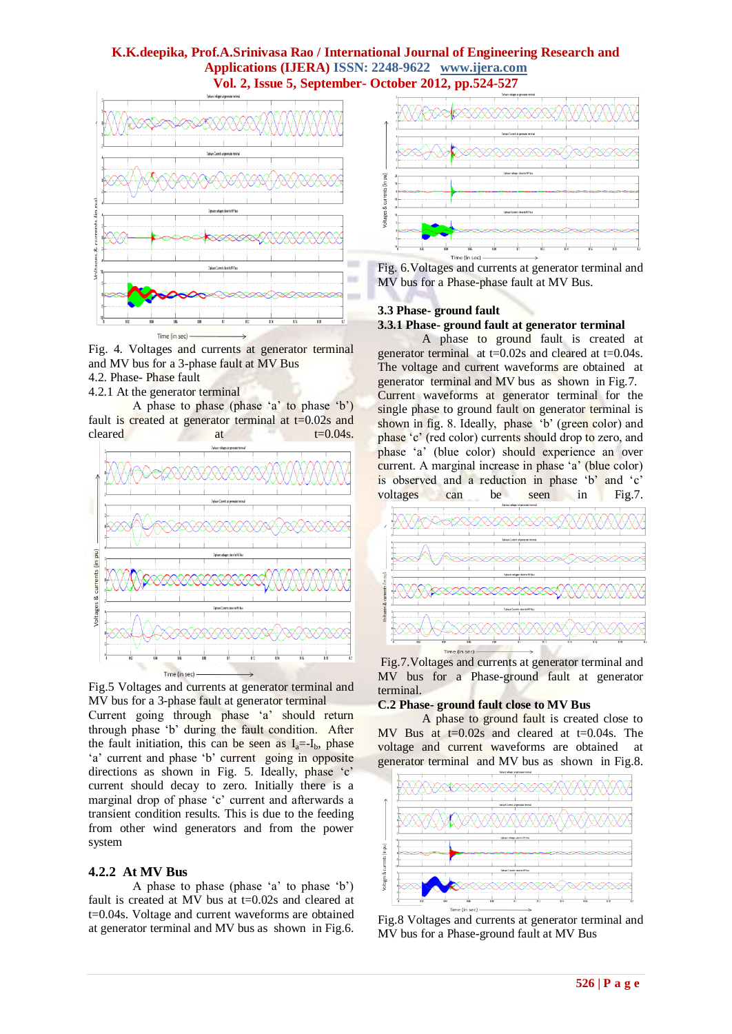#### **K.K.deepika, Prof.A.Srinivasa Rao / International Journal of Engineering Research and Applications (IJERA) ISSN: 2248-9622 www.ijera.com Vol. 2, Issue 5, September- October 2012, pp.524-527**



Fig. 4. Voltages and currents at generator terminal and MV bus for a 3-phase fault at MV Bus 4.2. Phase- Phase fault

4.2.1 At the generator terminal

A phase to phase (phase  $a'$  to phase  $b'$ ) fault is created at generator terminal at  $t=0.02$ s and cleared at t=0.04s.



Fig.5 Voltages and currents at generator terminal and MV bus for a 3-phase fault at generator terminal Current going through phase 'a' should return

through phase 'b' during the fault condition. After the fault initiation, this can be seen as  $I_a = -I_b$ , phase 'a' current and phase 'b' current going in opposite directions as shown in Fig. 5. Ideally, phase 'c' current should decay to zero. Initially there is a marginal drop of phase 'c' current and afterwards a transient condition results. This is due to the feeding from other wind generators and from the power system

#### **4.2.2 At MV Bus**

A phase to phase (phase  $a'$  to phase  $b'$ ) fault is created at MV bus at t=0.02s and cleared at t=0.04s. Voltage and current waveforms are obtained at generator terminal and MV bus as shown in Fig.6.





## **3.3 Phase- ground fault**

#### **3.3.1 Phase- ground fault at generator terminal**

A phase to ground fault is created at generator terminal at  $t=0.02$ s and cleared at  $t=0.04$ s. The voltage and current waveforms are obtained at generator terminal and MV bus as shown in Fig.7. Current waveforms at generator terminal for the single phase to ground fault on generator terminal is shown in fig. 8. Ideally, phase 'b' (green color) and phase 'c' (red color) currents should drop to zero, and phase 'a' (blue color) should experience an over current. A marginal increase in phase 'a' (blue color) is observed and a reduction in phase 'b' and 'c' voltages can be seen in Fig.7.



Fig.7.Voltages and currents at generator terminal and MV bus for a Phase-ground fault at generator terminal.

## **C.2 Phase- ground fault close to MV Bus**

A phase to ground fault is created close to MV Bus at  $t=0.02$ s and cleared at  $t=0.04$ s. The voltage and current waveforms are obtained at generator terminal and MV bus as shown in Fig.8.